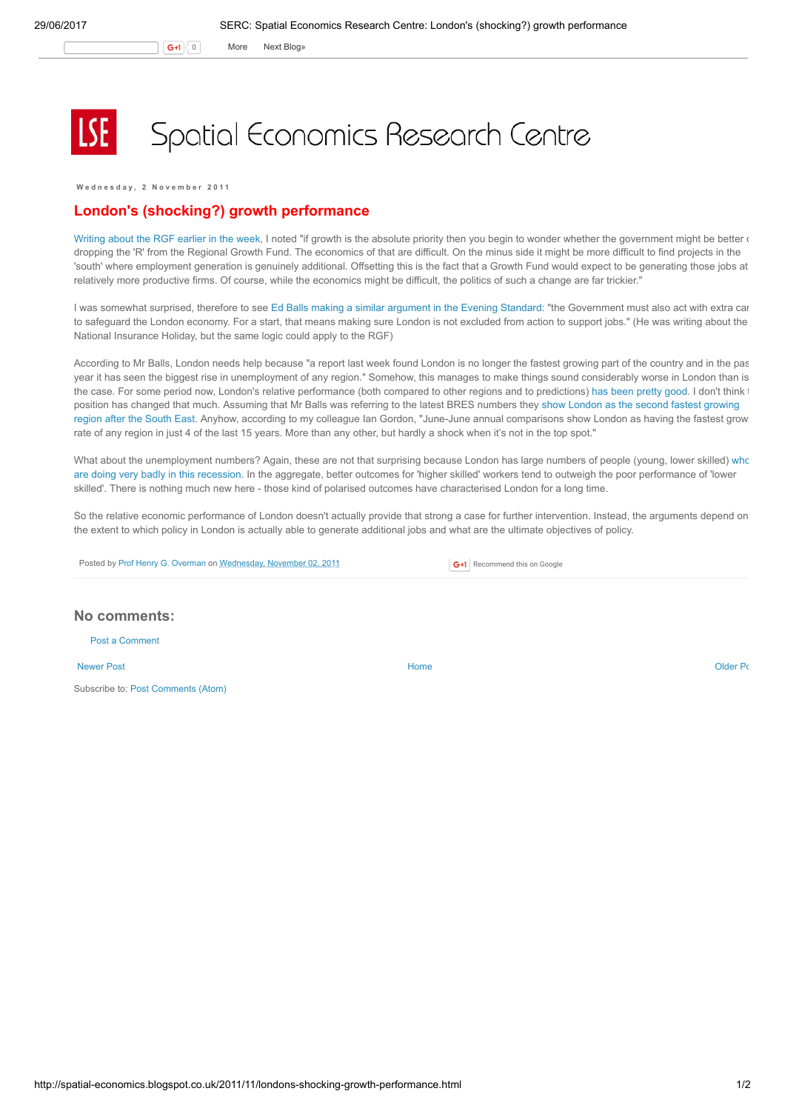G+1 0 More Next [Blog»](https://www.blogger.com/next-blog?navBar=true&blogID=974562301377041914)

## Spatial Economics Research Centre

Wednesday, 2 November 2011

## London's (shocking?) growth performance

[Writing](http://spatial-economics.blogspot.com/2011/10/regional-growth-fund-round-ii.html) about the RGF earlier in the week, I noted "if growth is the absolute priority then you begin to wonder whether the government might be better of dropping the 'R' from the Regional Growth Fund. The economics of that are difficult. On the minus side it might be more difficult to find projects in the 'south' where employment generation is genuinely additional. Offsetting this is the fact that a Growth Fund would expect to be generating those jobs at relatively more productive firms. Of course, while the economics might be difficult, the politics of such a change are far trickier."

I was somewhat surprised, therefore to see Ed Balls making a similar [argument](http://www.thisislondon.co.uk/standard/article-24004265-dont-cripple-the-city---london-can-lead-the-recovery.do) in the Evening Standard: "the Government must also act with extra car to safeguard the London economy. For a start, that means making sure London is not excluded from action to support jobs." (He was writing about the National Insurance Holiday, but the same logic could apply to the RGF)

According to Mr Balls, London needs help because "a report last week found London is no longer the fastest growing part of the country and in the past year it has seen the biggest rise in unemployment of any region." Somehow, this manages to make things sound considerably worse in London than is the case. For some period now, London's relative performance (both compared to other regions and to predictions) has been [pretty](http://spatial-economics.blogspot.com/2011/01/how-did-london-get-away-with-it.html) good. I don't think the position has changed that much. Assuming that Mr Balls was referring to the latest BRES numbers they show London as the second fastest growing region after the South East. Anyhow, according to my colleague Ian Gordon, "June-June annual [comparisons](http://www.london.gov.uk/publication/business-register-and-employment-survey-london-2010) show London as having the fastest grow rate of any region in just 4 of the last 15 years. More than any other, but hardly a shock when it's not in the top spot."

What about the [unemployment](http://spatial-economics.blogspot.com/2011/10/youth-unemployment.html) numbers? Again, these are not that surprising because London has large numbers of people (young, lower skilled) who are doing very badly in this recession. In the aggregate, better outcomes for 'higher skilled' workers tend to outweigh the poor performance of 'lower skilled'. There is nothing much new here - those kind of polarised outcomes have characterised London for a long time.

So the relative economic performance of London doesn't actually provide that strong a case for further intervention. Instead, the arguments depend on the extent to which policy in London is actually able to generate additional jobs and what are the ultimate objectives of policy.

Posted by Prof Henry G. [Overman](https://www.blogger.com/profile/15203876610491317062) on [Wednesday,](http://spatial-economics.blogspot.co.uk/2011/11/londons-shocking-growth-performance.html) November 02, 2011

G+1 Recommend this on Google

## No comments:

Post a [Comment](https://www.blogger.com/comment.g?blogID=974562301377041914&postID=1574028757189492426)

[Newer](http://spatial-economics.blogspot.co.uk/2011/11/falling-house-prices-and-planning.html) Post **New Account Contract Account Contract Account Contract Account Contract Account Contract [Older](http://spatial-economics.blogspot.co.uk/2011/10/regional-growth-fund-round-ii.html) Post** 

Subscribe to: Post [Comments](http://spatial-economics.blogspot.com/feeds/1574028757189492426/comments/default) (Atom)